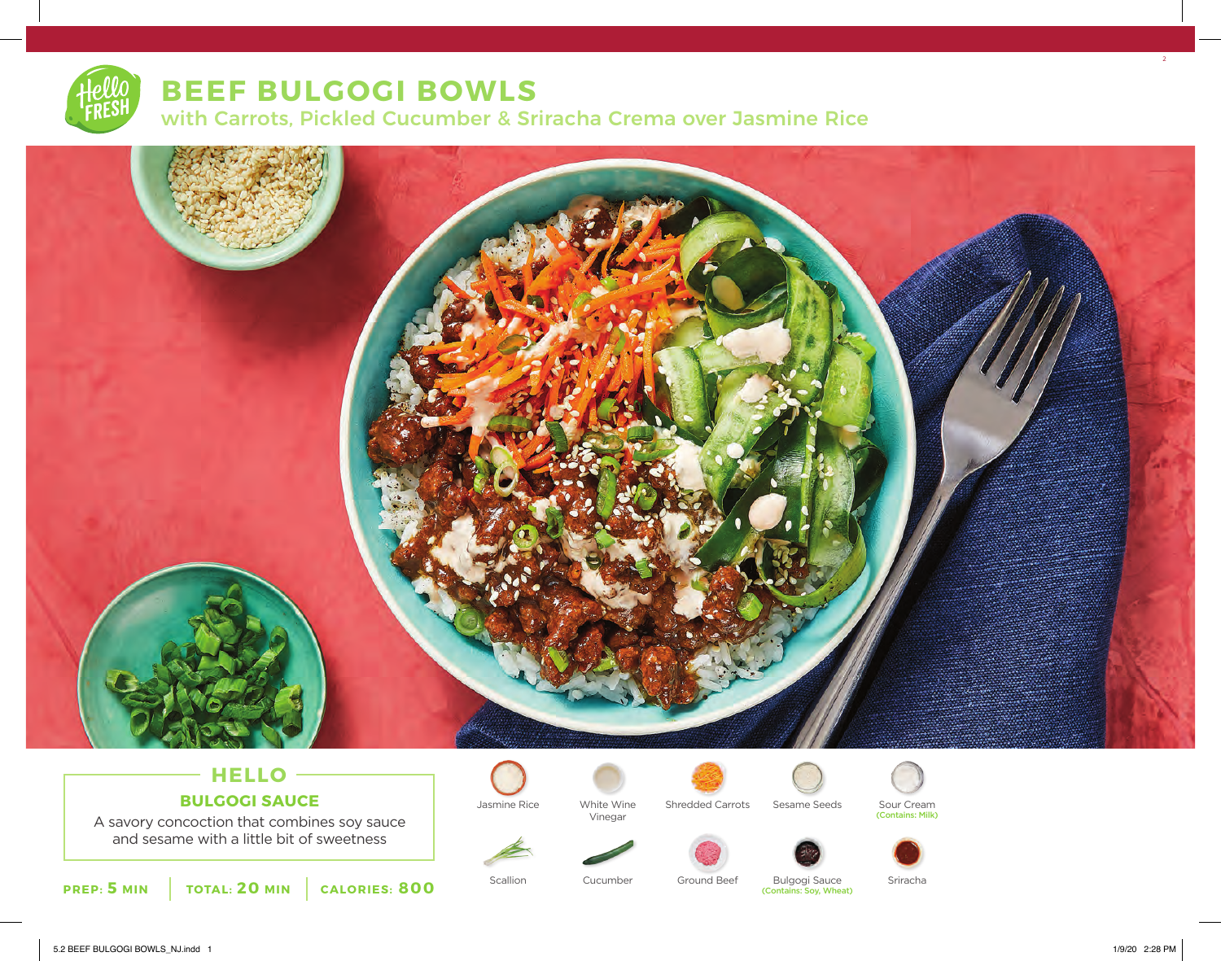# **BEEF BULGOGI BOWLS**

with Carrots, Pickled Cucumber & Sriracha Crema over Jasmine Rice



### **HELLO BULGOGI SAUCE**

A savory concoction that combines soy sauce and sesame with a little bit of sweetness



White Wine Vinegar



Jasmine Rice Shredded Carrots Sesame Seeds









Scallion Cucumber Ground Beef Bulgogi Sauce Sriracha (Contains: Soy, Wheat)

2